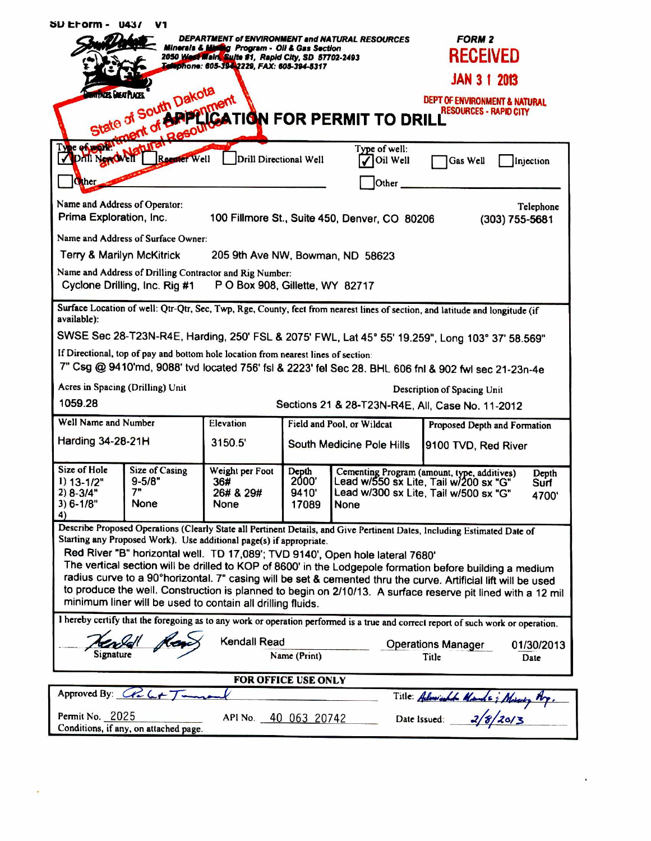| SU EFOrm -<br><b>U437</b><br>V1                                                                                                                                                                       |                                             |                                             |                                                            |                                                                                                                                                                 |                                                                           |
|-------------------------------------------------------------------------------------------------------------------------------------------------------------------------------------------------------|---------------------------------------------|---------------------------------------------|------------------------------------------------------------|-----------------------------------------------------------------------------------------------------------------------------------------------------------------|---------------------------------------------------------------------------|
| DEPARTMENT of ENVIRONMENT and NATURAL RESOURCES<br>Minerals & Mining Program - Oli & Gas Section<br>2050 West Main, Suite #1, Rapid City, SD 57702-2493<br>Telephone: 605-394-2229, FAX: 605-394-5317 |                                             |                                             |                                                            |                                                                                                                                                                 | <b>FORM 2</b><br><b>RECEIVED</b><br><b>JAN 3 1 2013</b>                   |
|                                                                                                                                                                                                       |                                             |                                             |                                                            |                                                                                                                                                                 | <b>DEPT OF ENVIRONMENT &amp; NATURAL</b><br><b>RESOURCES - RAPID CITY</b> |
| State of South Dancy Timent<br>State of South Of Prince Tidi FOR PERMIT TO DRILL RESOURCE                                                                                                             |                                             |                                             |                                                            |                                                                                                                                                                 |                                                                           |
|                                                                                                                                                                                                       |                                             |                                             |                                                            |                                                                                                                                                                 |                                                                           |
| <b>PHILNerdANT</b><br><b>Other</b>                                                                                                                                                                    | Reenter Well<br>Drill Directional Well      |                                             | Oil Well<br>Other                                          | Gas Well<br>Injection                                                                                                                                           |                                                                           |
|                                                                                                                                                                                                       |                                             |                                             |                                                            |                                                                                                                                                                 |                                                                           |
| Name and Address of Operator:<br>Telephone<br>Prima Exploration, Inc.<br>100 Fillmore St., Suite 450, Denver, CO 80206<br>$(303)$ 755-5681                                                            |                                             |                                             |                                                            |                                                                                                                                                                 |                                                                           |
| Name and Address of Surface Owner:                                                                                                                                                                    |                                             |                                             |                                                            |                                                                                                                                                                 |                                                                           |
| Terry & Marilyn McKitrick<br>205 9th Ave NW, Bowman, ND 58623                                                                                                                                         |                                             |                                             |                                                            |                                                                                                                                                                 |                                                                           |
| Name and Address of Drilling Contractor and Rig Number:<br>Cyclone Drilling, Inc. Rig #1<br>P O Box 908, Gillette, WY 82717                                                                           |                                             |                                             |                                                            |                                                                                                                                                                 |                                                                           |
| Surface Location of well: Qtr-Qtr, Sec, Twp, Rge, County, feet from nearest lines of section, and latitude and longitude (if<br>available):                                                           |                                             |                                             |                                                            |                                                                                                                                                                 |                                                                           |
| SWSE Sec 28-T23N-R4E, Harding, 250' FSL & 2075' FWL, Lat 45° 55' 19.259", Long 103° 37' 58.569"                                                                                                       |                                             |                                             |                                                            |                                                                                                                                                                 |                                                                           |
| If Directional, top of pay and bottom hole location from nearest lines of section:<br>7" Csg @ 9410'md, 9088' tvd located 756' fsl & 2223' fel Sec 28. BHL 606 fnl & 902 fwl sec 21-23n-4e            |                                             |                                             |                                                            |                                                                                                                                                                 |                                                                           |
| Acres in Spacing (Drilling) Unit<br>Description of Spacing Unit                                                                                                                                       |                                             |                                             |                                                            |                                                                                                                                                                 |                                                                           |
| 1059.28<br>Sections 21 & 28-T23N-R4E, All, Case No. 11-2012                                                                                                                                           |                                             |                                             |                                                            |                                                                                                                                                                 |                                                                           |
| Well Name and Number                                                                                                                                                                                  |                                             | Elevation                                   | Field and Pool, or Wildcat<br>Proposed Depth and Formation |                                                                                                                                                                 |                                                                           |
| <b>Harding 34-28-21H</b>                                                                                                                                                                              |                                             | 3150.5                                      | South Medicine Pole Hills                                  |                                                                                                                                                                 | 9100 TVD, Red River                                                       |
| Size of Hole<br>$1) 13 - 1/2"$<br>$2) 8 - 3/4"$<br>$3) 6 - 1/8"$<br>4)                                                                                                                                | <b>Size of Casing</b><br>$9 - 5/8"$<br>None | Weight per Foot<br>36#<br>26# & 29#<br>None | Depth<br>2000'<br>9410'<br>17089                           | Cementing Program (amount, type, additives)<br>Depth<br>Lead w/550 sx Lite, Tail w/200 sx "G"<br>Surf<br>Lead w/300 sx Lite, Tail w/500 sx "G"<br>4700'<br>None |                                                                           |
| Describe Proposed Operations (Clearly State all Pertinent Details, and Give Pertinent Dates, Including Estimated Date of                                                                              |                                             |                                             |                                                            |                                                                                                                                                                 |                                                                           |
| Starting any Proposed Work). Use additional page(s) if appropriate.<br>Red River "B" horizontal well. TD 17,089'; TVD 9140', Open hole lateral 7680'                                                  |                                             |                                             |                                                            |                                                                                                                                                                 |                                                                           |
| The vertical section will be drilled to KOP of 8600' in the Lodgepole formation before building a medium                                                                                              |                                             |                                             |                                                            |                                                                                                                                                                 |                                                                           |
| radius curve to a 90°horizontal. 7" casing will be set & cemented thru the curve. Artificial lift will be used                                                                                        |                                             |                                             |                                                            |                                                                                                                                                                 |                                                                           |
| to produce the well. Construction is planned to begin on 2/10/13. A surface reserve pit lined with a 12 mil<br>minimum liner will be used to contain all drilling fluids.                             |                                             |                                             |                                                            |                                                                                                                                                                 |                                                                           |
| I hereby certify that the foregoing as to any work or operation performed is a true and correct report of such work or operation.                                                                     |                                             |                                             |                                                            |                                                                                                                                                                 |                                                                           |
| Kendall Read                                                                                                                                                                                          |                                             |                                             |                                                            |                                                                                                                                                                 |                                                                           |
| <b>Operations Manager</b><br>01/30/2013<br>Signature<br>Name (Print)<br>Title<br>Date                                                                                                                 |                                             |                                             |                                                            |                                                                                                                                                                 |                                                                           |
|                                                                                                                                                                                                       |                                             |                                             |                                                            |                                                                                                                                                                 |                                                                           |
| FOR OFFICE USE ONLY<br>Approved By: $G L + T -$                                                                                                                                                       |                                             |                                             |                                                            |                                                                                                                                                                 |                                                                           |
| Title: Admirable Mands; Massey Ry.                                                                                                                                                                    |                                             |                                             |                                                            |                                                                                                                                                                 |                                                                           |
| Permit No. 2025<br>API No. 40 063 20742<br>Conditions, if any, on attached page.                                                                                                                      |                                             |                                             |                                                            |                                                                                                                                                                 |                                                                           |

 $\blacksquare$